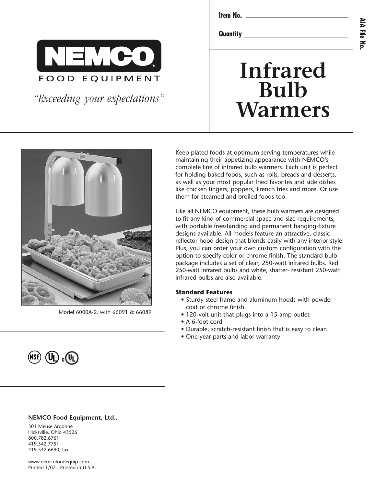

*"Exceeding your expectations"*

**Item No.**

**Quantity**

# **Infrared Bulb Warmers**



Model 6000A-2, with 66091 & 66089



#### **NEMCO Food Equipment, Ltd.,**

301 Meuse Argonne Hicksville, Ohio 43526 800.782.6761 419.542.7751 419.542.6690, fax

www.nemcofoodequip.com Printed 1/07. Printed in U.S.A.

Keep plated foods at optimum serving temperatures while maintaining their appetizing appearance with NEMCO's complete line of infrared bulb warmers. Each unit is perfect for holding baked foods, such as rolls, breads and desserts, as well as your most popular fried favorites and side dishes like chicken fingers, poppers, French fries and more. Or use them for steamed and broiled foods too.

Like all NEMCO equipment, these bulb warmers are designed to fit any kind of commercial space and size requirements, with portable freestanding and permanent hanging-fixture designs available. All models feature an attractive, classic reflector hood design that blends easily with any interior style. Plus, you can order your own custom configuration with the option to specify color or chrome finish. The standard bulb package includes a set of clear, 250-watt infrared bulbs. Red 250-watt infrared bulbs and white, shatter- resistant 250-watt infrared bulbs are also available.

#### **Standard Features**

- Sturdy steel frame and aluminum hoods with powder coat or chrome finish.
- 120-volt unit that plugs into a 15-amp outlet
- A 6-foot cord
- Durable, scratch-resistant finish that is easy to clean
- One-year parts and labor warranty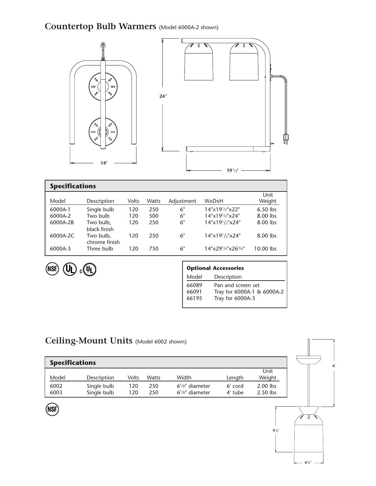### **Countertop Bulb Warmers** (Model 6000A-2 shown)



| <b>Specifications</b> |                            |       |       |            |                               |                |  |  |
|-----------------------|----------------------------|-------|-------|------------|-------------------------------|----------------|--|--|
| Model                 | Description                | Volts | Watts | Adjustment | WxDxH                         | Unit<br>Weight |  |  |
| 6000A-1               | Single bulb                | 120   | 250   | 6"         | 14"x19 <sup>1</sup> /2"x22"   | $6.50$ lbs     |  |  |
| 6000A-2               | Two bulb                   | 120   | 500   | 6"         | 14"x19 <sup>1</sup> /2"x24"   | 8.00 lbs       |  |  |
| 6000A-2B              | Two bulb,<br>black finish  | 120   | 250   | 6"         | 14"x19'2"x24"                 | 8.00 lbs       |  |  |
| 6000A-2C              | Two bulb,<br>chrome finish | 120   | 250   | 6"         | 14"x191/2"x24"                | 8.00 lbs       |  |  |
| 6000A-3               | Three bulb                 | 120   | 750   | 6"         | 14"x29'4"x26 <sup>3</sup> /4" | 10.00 lbs      |  |  |



(NSF)

| <b>Optional Accessories</b> |                            |  |  |  |  |  |
|-----------------------------|----------------------------|--|--|--|--|--|
| Model                       | Description                |  |  |  |  |  |
| 66089                       | Pan and screen set         |  |  |  |  |  |
| 66091                       | Tray for 6000A-1 & 6000A-2 |  |  |  |  |  |
| 66195                       | Tray for 6000A-3           |  |  |  |  |  |

### **Ceiling-Mount Units** (Model 6002 shown)

| <b>Specifications</b> |                            |            |            |                                              |                    |                          |  |  |
|-----------------------|----------------------------|------------|------------|----------------------------------------------|--------------------|--------------------------|--|--|
| Model                 | Description                | Volts      | Watts      | Width                                        | Length             | Unit<br>Weight           |  |  |
| 6002<br>6003          | Single bulb<br>Single bulb | 120<br>120 | 250<br>250 | $6^{1/8}$ " diameter<br>$6^{1/8}$ " diameter | 6' cord<br>4' tube | $2.00$ lbs<br>$2.50$ lbs |  |  |

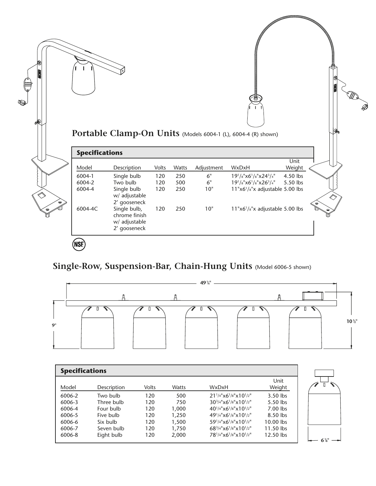|                       |                                              |       |       |                  | Portable Clamp-On Units (Models 6004-1 (L), 6004-4 (R) shown)                                     |                    |            |
|-----------------------|----------------------------------------------|-------|-------|------------------|---------------------------------------------------------------------------------------------------|--------------------|------------|
| <b>Specifications</b> |                                              |       |       |                  |                                                                                                   |                    |            |
| Model                 |                                              | Volts | Watts |                  | WxDxH                                                                                             | Unit               |            |
| 6004-1                | Description                                  | 120   | 250   | Adjustment<br>6" | 19 <sup>1</sup> / <sub>8</sub> "x6 <sup>1</sup> /8"x24 <sup>3</sup> /4"                           | Weight<br>4.50 lbs |            |
| 6004-2                | Single bulb<br>Two bulb                      | 120   | 500   | $6"$             | 19 <sup>1</sup> / <sub>8</sub> "x6 <sup>1</sup> / <sub>8</sub> "x26 <sup>3</sup> / <sub>4</sub> " | 5.50 lbs           |            |
| 6004-4                | Single bulb<br>w/ adjustable<br>2' gooseneck | 120   | 250   | 10"              | $11"x6'/s"x$ adjustable 5.00 lbs                                                                  |                    | $\Diamond$ |

# **491 /4" Single-Row, Suspension-Bar, Chain-Hung Units** (Model 6006-5 shown)



| <b>Specifications</b> |             |              |              |                                                     |                |  |  |
|-----------------------|-------------|--------------|--------------|-----------------------------------------------------|----------------|--|--|
| Model                 | Description | <b>Volts</b> | <b>Watts</b> | WxDxH                                               | Unit<br>Weight |  |  |
| 6006-2                | Two bulb    | 120          | 500          | $21^{1/4}$ "x6 <sup>1</sup> /8"x10 <sup>1</sup> /2" | $3.50$ lbs     |  |  |
| 6006-3                | Three bulb  | 120          | 750          | $30^{3}/4" \times 6^{1}/8" \times 10^{1}/2"$        | $5.50$ lbs     |  |  |
| 6006-4                | Four bulb   | 120          | 1.000        | $40^{1/4}$ "x6 <sup>1</sup> /8"x10 <sup>1</sup> /2" | $7.00$ lbs     |  |  |
| 6006-5                | Five bulb   | 120          | 1,250        | $49^{1}/4" \times 6^{1}/8" \times 10^{1}/2"$        | 8.50 lbs       |  |  |
| 6006-6                | Six bulb    | 120          | 1,500        | $59^{1/4}$ "x6 <sup>1</sup> /8"x10 <sup>1</sup> /2" | $10.00$ lbs    |  |  |
| 6006-7                | Seven bulb  | 120          | 1,750        | $68^{3}/4" \times 6^{1}/8" \times 10^{1}/2"$        | $11.50$ lbs    |  |  |
| 6006-8                | Eight bulb  | 120          | 2,000        | $78^{1/4}$ "x6 <sup>1</sup> /8"x10 <sup>1</sup> /2" | 12.50 lbs      |  |  |
|                       |             |              |              |                                                     |                |  |  |